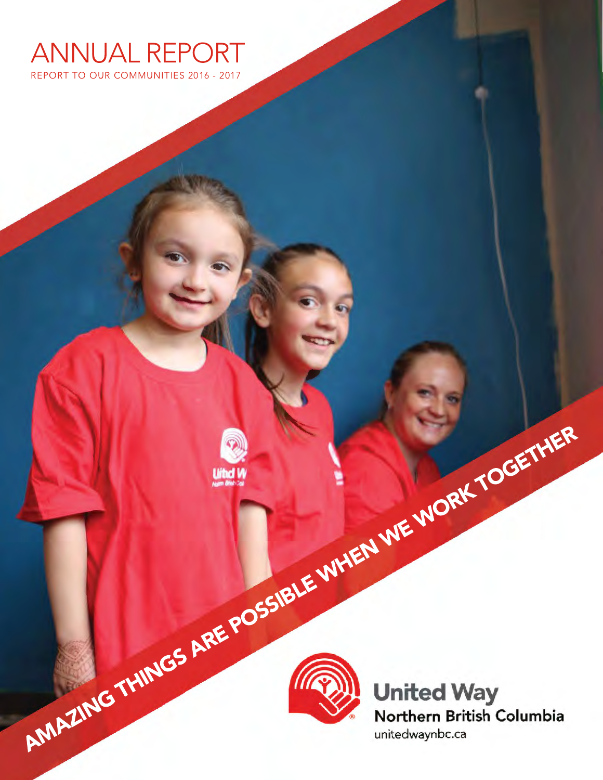

REPORT TO OUR COMMUNITIES 2016 - 2017





AMAZING THINGS ARE POSSIBLE WHEN WE WORK TOGETHER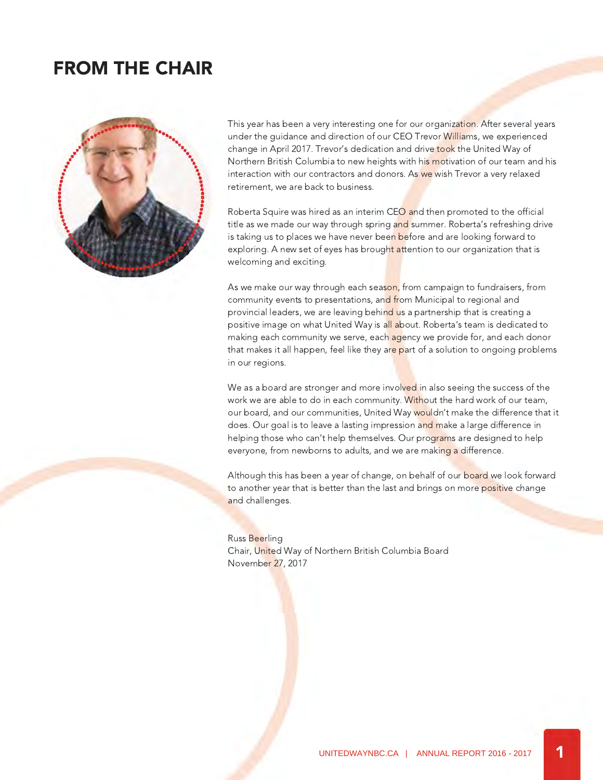### FROM THE CHAIR



This year has been a very interesting one for our organization. After several years under the guidance and direction of our CEO Trevor Williams, we experienced change in April 2017. Trevor's dedication and drive took the United Way of Northern British Columbia to new heights with his motivation of our team and his interaction with our contractors and donors. As we wish Trevor a very relaxed retirement, we are back to business.

Roberta Squire was hired as an interim CEO and then promoted to the official title as we made our way through spring and summer. Roberta's refreshing drive is taking us to places we have never been before and are looking forward to exploring. A new set of eyes has brought attention to our organization that is welcoming and exciting.

As we make our way through each season, from campaign to fundraisers, from community events to presentations, and from Municipal to regional and provincial leaders, we are leaving behind us a partnership that is creating a positive image on what United Way is all about. Roberta's team is dedicated to making each community we serve, each agency we provide for, and each donor that makes it all happen, feel like they are part of a solution to ongoing problems in our regions.

We as a board are stronger and more involved in also seeing the success of the work we are able to do in each community. Without the hard work of our team, our board, and our communities, United Way wouldn't make the difference that it does. Our goal is to leave a lasting impression and make a large difference in helping those who can't help themselves. Our programs are designed to help everyone, from newborns to adults, and we are making a difference.

Although this has been a year of change, on behalf of our board we look forward to another year that is better than the last and brings on more positive change and challenges.

#### Russ Beerling Chair, United Way of Northern British Columbia Board November 27, 2017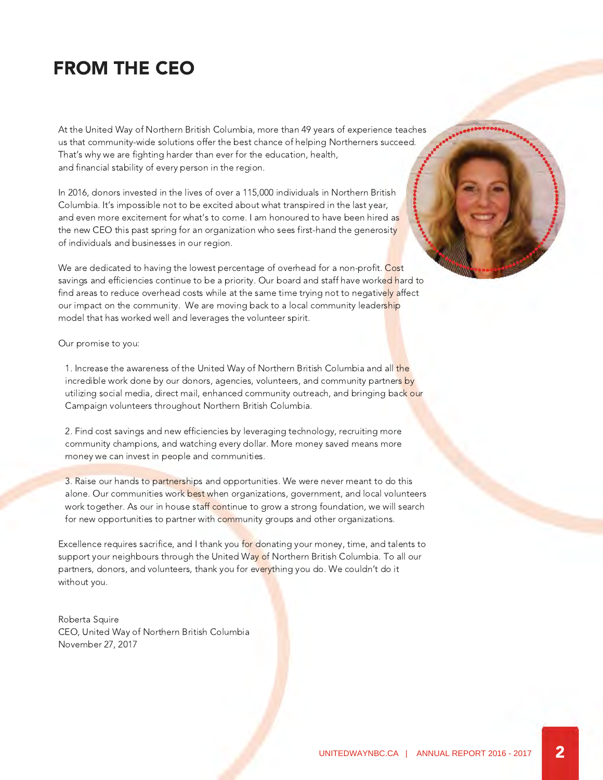### FROM THE CEO

At the United Way of Northern British Columbia, more than 49 years of experience teaches us that community-wide solutions offer the best chance of helping Northerners succeed. That's why we are fighting harder than ever for the education, health, and financial stability of every person in the region.

In 2016, donors invested in the lives of over a 115,000 individuals in Northern British Columbia. It's impossible not to be excited about what transpired in the last year, and even more excitement for what's to come. I am honoured to have been hired as the new CEO this past spring for an organization who sees first-hand the generosity of individuals and businesses in our region.

We are dedicated to having the lowest percentage of overhead for a non-profit. Cost savings and efficiencies continue to be a priority. Our board and staff have worked hard to find areas to reduce overhead costs while at the same time trying not to negatively affect our impact on the community. We are moving back to a local community leadership model that has worked well and leverages the volunteer spirit.

#### Our promise to you:

1. Increase the awareness of the United Way of Northern British Columbia and all the incredible work done by our donors, agencies, volunteers, and community partners by utilizing social media, direct mail, enhanced community outreach, and bringing back our Campaign volunteers throughout Northern British Columbia.

 2. Find cost savings and new efficiencies by leveraging technology, recruiting more community champions, and watching every dollar. More money saved means more money we can invest in people and communities.

 3. Raise our hands to partnerships and opportunities. We were never meant to do this alone. Our communities work best when organizations, government, and local volunteers work together. As our in house staff continue to grow a strong foundation, we will search for new opportunities to partner with community groups and other organizations.

Excellence requires sacrifice, and I thank you for donating your money, time, and talents to support your neighbours through the United Way of Northern British Columbia. To all our partners, donors, and volunteers, thank you for everything you do. We couldn't do it without you.

Roberta Squire CEO, United Way of Northern British Columbia November 27, 2017

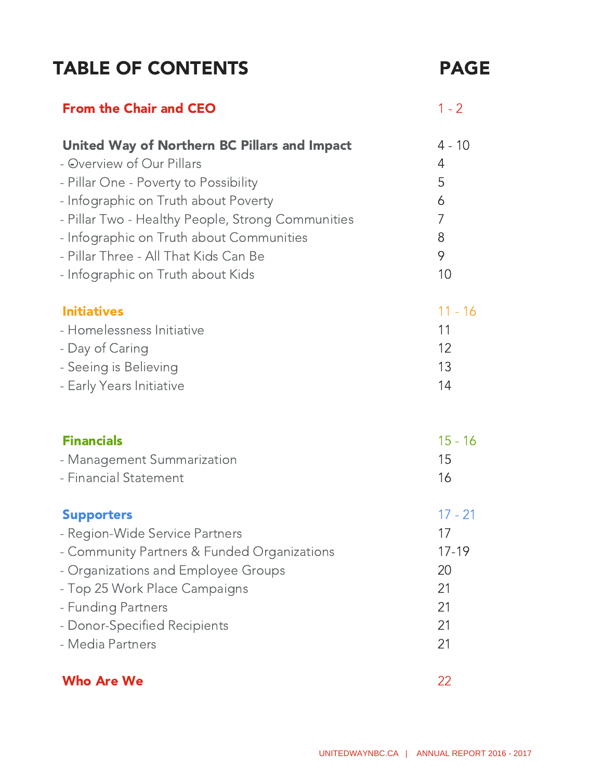## TABLE OF CONTENTS FAGE

| <b>From the Chair and CEO</b>                       | $1 - 2$   |
|-----------------------------------------------------|-----------|
| <b>United Way of Northern BC Pillars and Impact</b> | $4 - 10$  |
| - Overview of Our Pillars                           | 4         |
| - Pillar One - Poverty to Possibility               | 5         |
| - Infographic on Truth about Poverty                | 6         |
| - Pillar Two - Healthy People, Strong Communities   | 7         |
| - Infographic on Truth about Communities            | 8         |
| - Pillar Three - All That Kids Can Be               | 9         |
| - Infographic on Truth about Kids                   | 10        |
| <b>Initiatives</b>                                  | $11 - 16$ |
| - Homelessness Initiative                           | 11        |
| - Day of Caring                                     | 12        |
| - Seeing is Believing                               | 13        |
| - Early Years Initiative                            | 14        |
| <b>Financials</b>                                   | $15 - 16$ |
| - Management Summarization                          | 15        |
| - Financial Statement                               | 16        |
| <b>Supporters</b>                                   | $17 - 21$ |
| - Region-Wide Service Partners                      | 17        |
| - Community Partners & Funded Organizations         | $17 - 19$ |
| - Organizations and Employee Groups                 | 20        |
| - Top 25 Work Place Campaigns                       | 21        |
| - Funding Partners                                  | 21        |
| - Donor-Specified Recipients                        | 21        |
| - Media Partners                                    | 21        |
| <b>Who Are We</b>                                   | 22        |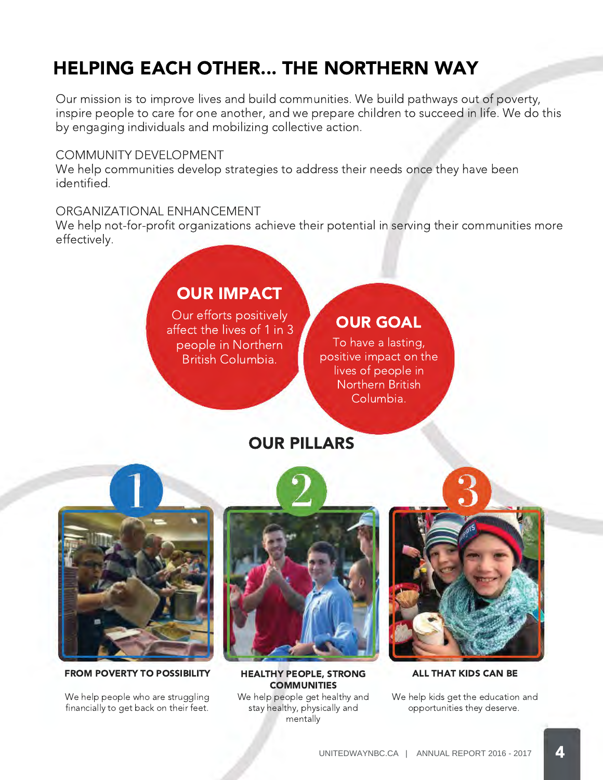# HELPING EACH OTHER... THE NORTHERN WAY

Our mission is to improve lives and build communities. We build pathways out of poverty, inspire people to care for one another, and we prepare children to succeed in life. We do this by engaging individuals and mobilizing collective action.

### COMMUNITY DEVELOPMENT

We help communities develop strategies to address their needs once they have been identified.

### ORGANIZATIONAL ENHANCEMENT

We help not-for-profit organizations achieve their potential in serving their communities more effectively.

### OUR IMPACT

Our efforts positively affect the lives of 1 in 3 people in Northern British Columbia.

### OUR GOAL

To have a lasting, positive impact on the lives of people in Northern British Columbia.

### OUR PILLARS



FROM POVERTY TO POSSIBILITY HEALTHY PEOPLE, STRONG

We help people who are struggling financially to get back on their feet.



**COMMUNITIES** 

We help people get healthy and stay healthy, physically and mentally



ALL THAT KIDS CAN BE

We help kids get the education and opportunities they deserve.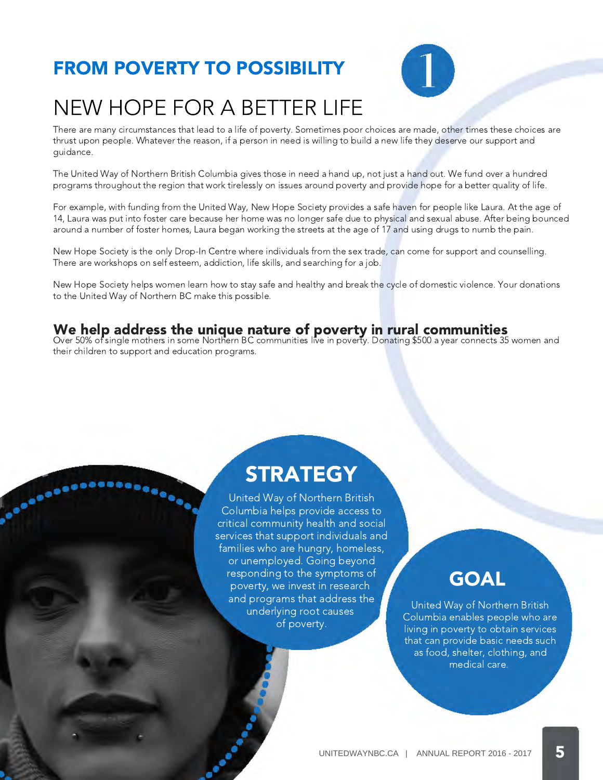# FROM POVERTY TO POSSIBILITY

**Soonee** 



# NEW HOPE FOR A BETTER LIFE

There are many circumstances that lead to a life of poverty. Sometimes poor choices are made, other times these choices are thrust upon people. Whatever the reason, if a person in need is willing to build a new life they deserve our support and guidance.

The United Way of Northern British Columbia gives those in need a hand up, not just a hand out. We fund over a hundred programs throughout the region that work tirelessly on issues around poverty and provide hope for a better quality of life.

For example, with funding from the United Way, New Hope Society provides a safe haven for people like Laura. At the age of 14, Laura was put into foster care because her home was no longer safe due to physical and sexual abuse. After being bounced around a number of foster homes, Laura began working the streets at the age of 17 and using drugs to numb the pain.

New Hope Society is the only Drop-In Centre where individuals from the sex trade, can come for support and counselling. There are workshops on self esteem, addiction, life skills, and searching for a job.

New Hope Society helps women learn how to stay safe and healthy and break the cycle of domestic violence. Your donations to the United Way of Northern BC make this possible.

### We help address the unique nature of poverty in rural communities

Over 50% of single mothers in some Northern BC communities live in poverty. Donating \$500 a year connects 35 women and their children to support and education programs.

# **STRATEGY**

United Way of Northern British Columbia helps provide access to critical community health and social services that support individuals and families who are hungry, homeless, or unemployed. Going beyond responding to the symptoms of poverty, we invest in research and programs that address the underlying root causes of poverty.

# **GOAL**

United Way of Northern British Columbia enables people who are living in poverty to obtain services that can provide basic needs such as food, shelter, clothing, and medical care.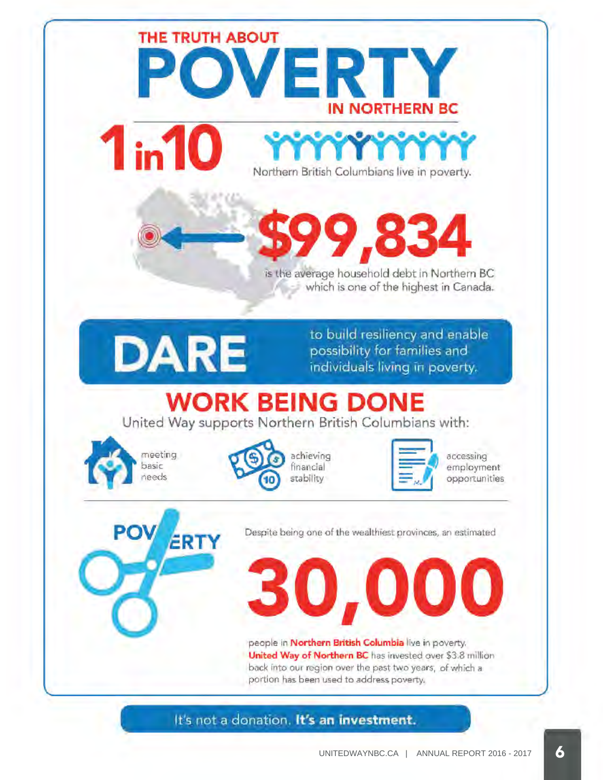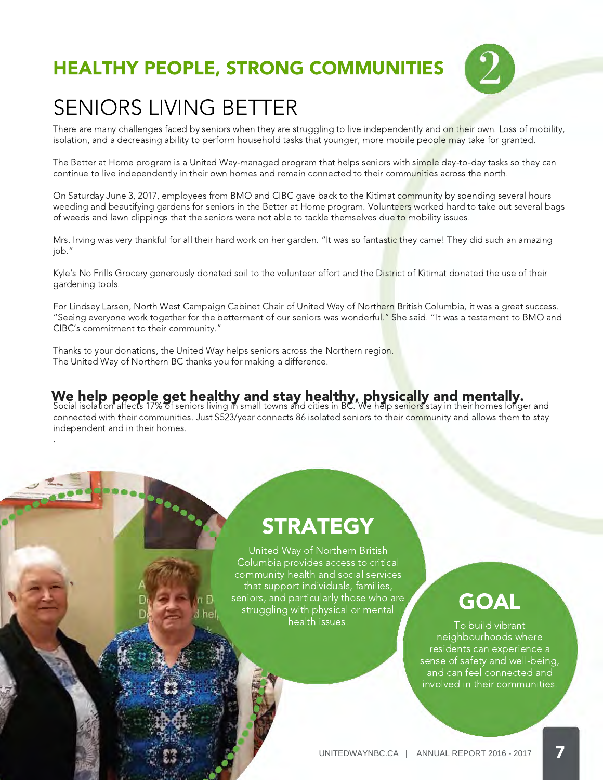# HEALTHY PEOPLE, STRONG COMMUNITIES



# SENIORS LIVING BETTER

There are many challenges faced by seniors when they are struggling to live independently and on their own. Loss of mobility, isolation, and a decreasing ability to perform household tasks that younger, more mobile people may take for granted.

The Better at Home program is a United Way-managed program that helps seniors with simple day-to-day tasks so they can continue to live independently in their own homes and remain connected to their communities across the north.

On Saturday June 3, 2017, employees from BMO and CIBC gave back to the Kitimat community by spending several hours weeding and beautifying gardens for seniors in the Better at Home program. Volunteers worked hard to take out several bags of weeds and lawn clippings that the seniors were not able to tackle themselves due to mobility issues.

Mrs. Irving was very thankful for all their hard work on her garden. "It was so fantastic they came! They did such an amazing job."

Kyle's No Frills Grocery generously donated soil to the volunteer effort and the District of Kitimat donated the use of their gardening tools.

For Lindsey Larsen, North West Campaign Cabinet Chair of United Way of Northern British Columbia, it was a great success. "Seeing everyone work together for the betterment of our seniors was wonderful." She said. "It was a testament to BMO and CIBC's commitment to their community."

Thanks to your donations, the United Way helps seniors across the Northern region. The United Way of Northern BC thanks you for making a difference.

**PROPER** 

#### Social isolation affects 17% of seniors living in small towns and cities in BC. We help seniors stay in their homes longer and We help people get healthy and stay healthy, physically and mentally.

connected with their communities. Just \$523/year connects 86 isolated seniors to their community and allows them to stay independent and in their homes. .

# **STRATEGY**

United Way of Northern British Columbia provides access to critical community health and social services that support individuals, families, seniors, and particularly those who are struggling with physical or mental health issues.

# **GOAL**

To build vibrant neighbourhoods where residents can experience a sense of safety and well-being, and can feel connected and involved in their communities.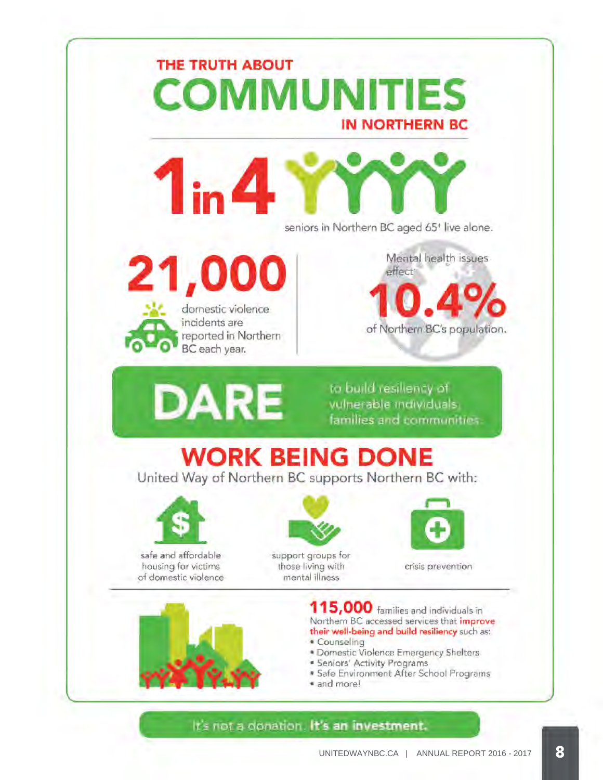

It's ript a donation. It's an investment.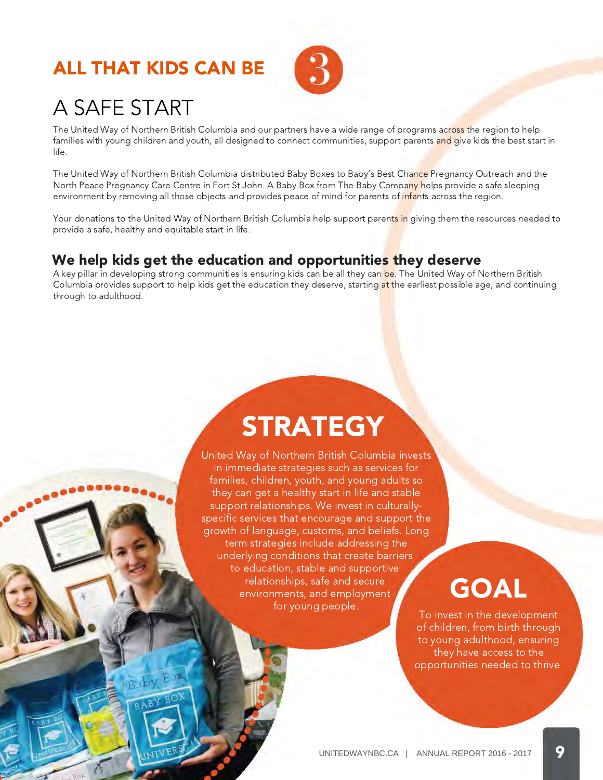### ALL THAT KIDS CAN BE



# A SAFE START

The United Way of Northern British Columbia and our partners have a wide range of programs across the region to help families with young children and youth, all designed to connect communities, support parents and give kids the best start in life.

The United Way of Northern British Columbia distributed Baby Boxes to Baby's Best Chance Pregnancy Outreach and the North Peace Pregnancy Care Centre in Fort St John. A Baby Box from The Baby Company helps provide a safe sleeping environment by removing all those objects and provides peace of mind for parents of infants across the region.

Your donations to the United Way of Northern British Columbia help support parents in giving them the resources needed to provide a safe, healthy and equitable start in life.

### We help kids get the education and opportunities they deserve

A key pillar in developing strong communities is ensuring kids can be all they can be. The United Way of Northern British Columbia provides support to help kids get the education they deserve, starting at the earliest possible age, and continuing through to adulthood.

# **STRATEGY**

United Way of Northern British Columbia invests in immediate strategies such as services for families, children, youth, and young adults so they can get a healthy start in life and stable support relationships. We invest in culturallyspecific services that encourage and support the growth of language, customs, and beliefs. Long term strategies include addressing the underlying conditions that create barriers to education, stable and supportive relationships, safe and secure environments, and employment for young people.

# GOAL

To invest in the development of children, from birth through to young adulthood, ensuring they have access to the opportunities needed to thrive.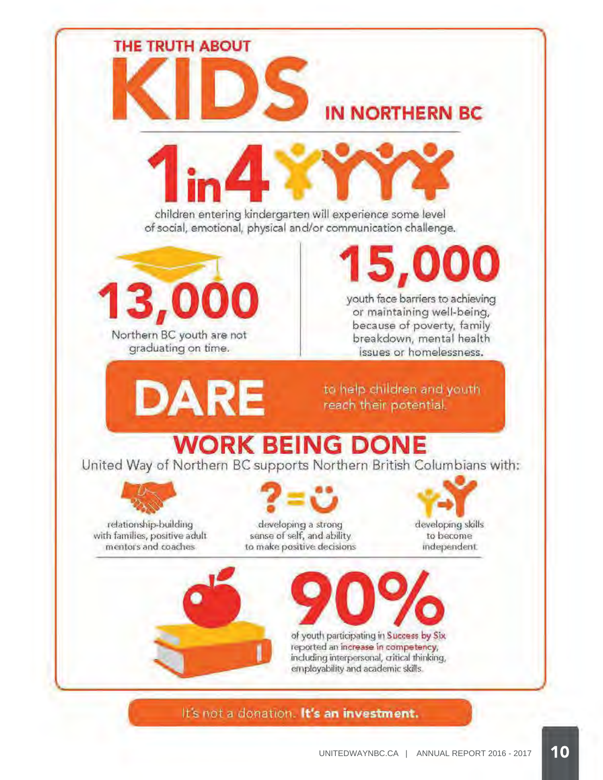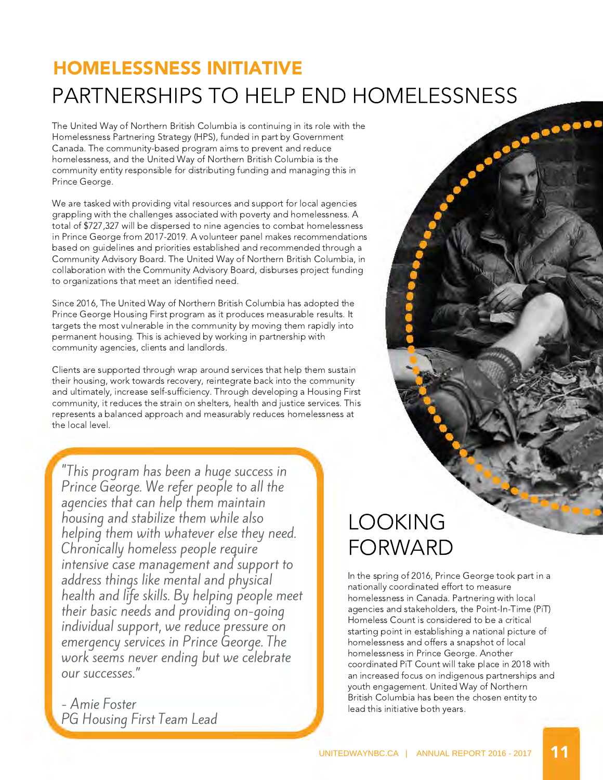# HOMELESSNESS INITIATIVE

The United Way of Northern British Columbia is continuing in its role with the Homelessness Partnering Strategy (HPS), funded in part by Government Canada. The community-based program aims to prevent and reduce homelessness, and the United Way of Northern British Columbia is the community entity responsible for distributing funding and managing this in Prince George. PARTNERSHIPS TO HELP END HOMELESSNESS<br>The United Way of Northern British Columbia is continuing in its role with the<br>Homelessness Partnering Strategy (HPS), funded in part by Government<br>Canada. The community-based program

We are tasked with providing vital resources and support for local agencies grappling with the challenges associated with poverty and homelessness. A total of \$727,327 will be dispersed to nine agencies to combat homelessness in Prince George from 2017-2019. A volunteer panel makes recommendations based on guidelines and priorities established and recommended through a Community Advisory Board. The United Way of Northern British Columbia, in collaboration with the Community Advisory Board, disburses project funding to organizations that meet an identified need.

Since 2016, The United Way of Northern British Columbia has adopted the Prince George Housing First program as it produces measurable results. It targets the most vulnerable in the community by moving them rapidly into permanent housing. This is achieved by working in partnership with community agencies, clients and landlords.

Clients are supported through wrap around services that help them sustain their housing, work towards recovery, reintegrate back into the community and ultimately, increase self-sufficiency. Through developing a Housing First community, it reduces the strain on shelters, health and justice services. This represents a balanced approach and measurably reduces homelessness at the local level.

"This program has been a huge success in Prince George. We refer people to all the agencies that can help them maintain housing and stabilize them while also helping them with whatever else they need. Chronically homeless people require intensive case management and support to address things like mental and physical health and life skills. By helping people meet their basic needs and providing on-going individual support, we reduce pressure on emergency services in Prince George. The work seems never ending but we celebrate our successes."

- Amie Foster PG Housing First Team Lead

# LOOKING FORWARD

In the spring of 2016, Prince George took part in a nationally coordinated effort to measure homelessness in Canada. Partnering with local agencies and stakeholders, the Point-In-Time (PiT) Homeless Count is considered to be a critical starting point in establishing a national picture of homelessness and offers a snapshot of local homelessness in Prince George. Another coordinated PiT Count will take place in 2018 with an increased focus on indigenous partnerships and youth engagement. United Way of Northern British Columbia has been the chosen entity to lead this initiative both years.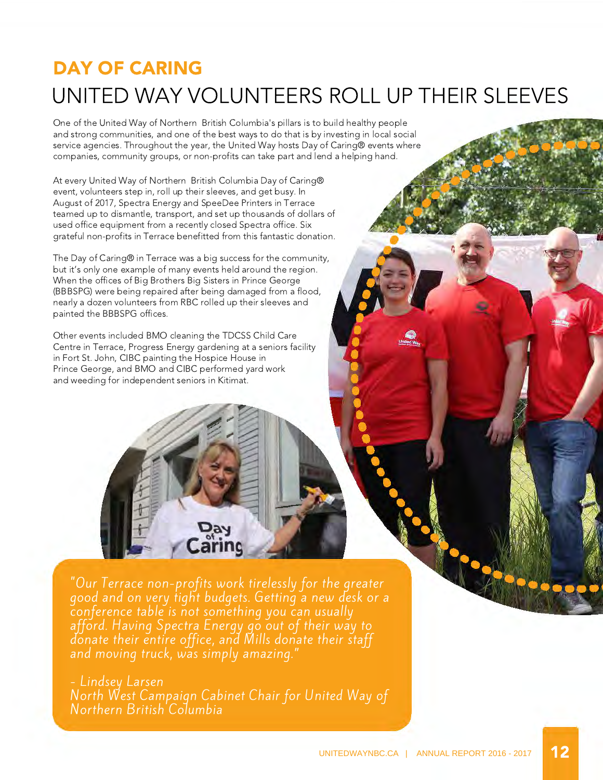# DAY OF CARING UNITED WAY VOLUNTEERS ROLL UP THEIR SLEEVES

One of the United Way of Northern British Columbia's pillars is to build healthy people and strong communities, and one of the best ways to do that is by investing in local social service agencies. Throughout the year, the United Way hosts Day of Caring® events where companies, community groups, or non-profits can take part and lend a helping hand.

At every United Way of Northern British Columbia Day of Caring® event, volunteers step in, roll up their sleeves, and get busy. In August of 2017, Spectra Energy and SpeeDee Printers in Terrace teamed up to dismantle, transport, and set up thousands of dollars of used office equipment from a recently closed Spectra office. Six grateful non-profits in Terrace benefitted from this fantastic donation.

The Day of Caring® in Terrace was a big success for the community, but it's only one example of many events held around the region. When the offices of Big Brothers Big Sisters in Prince George (BBBSPG) were being repaired after being damaged from a flood, nearly a dozen volunteers from RBC rolled up their sleeves and painted the BBBSPG offices.

Other events included BMO cleaning the TDCSS Child Care Centre in Terrace, Progress Energy gardening at a seniors facility in Fort St. John, CIBC painting the Hospice House in Prince George, and BMO and CIBC performed yard work and weeding for independent seniors in Kitimat.

"Our Terrace non-profits work tirelessly for the greater good and on very tight budgets. Getting a new desk or a conference table is not something you can usually afford. Having Spectra Energy go out of their way to donate their entire office, and Mills donate their staff and moving truck, was simply amazing."

Day Caring

### - Lindsey Larsen

North West Campaign Cabinet Chair for United Way of Northern British Columbia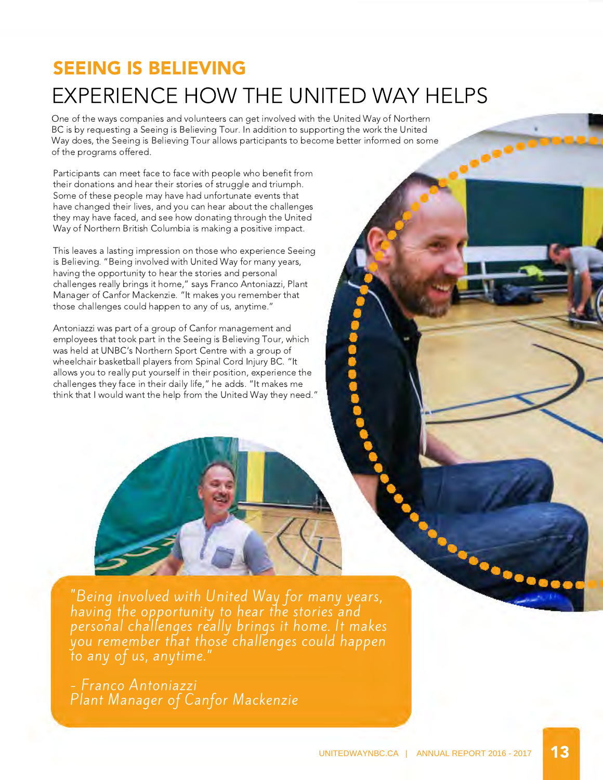# SEEING IS BELIEVING EXPERIENCE HOW THE UNITED WAY HELPS

,,,,,,

One of the ways companies and volunteers can get involved with the United Way of Northern BC is by requesting a Seeing is Believing Tour. In addition to supporting the work the United Way does, the Seeing is Believing Tour allows participants to become better informed on some of the programs offered.

Participants can meet face to face with people who benefit from their donations and hear their stories of struggle and triumph. Some of these people may have had unfortunate events that have changed their lives, and you can hear about the challenges they may have faced, and see how donating through the United Way of Northern British Columbia is making a positive impact.

This leaves a lasting impression on those who experience Seeing is Believing. "Being involved with United Way for many years, having the opportunity to hear the stories and personal challenges really brings it home," says Franco Antoniazzi, Plant Manager of Canfor Mackenzie. "It makes you remember that those challenges could happen to any of us, anytime."

Antoniazzi was part of a group of Canfor management and employees that took part in the Seeing is Believing Tour, which was held at UNBC's Northern Sport Centre with a group of wheelchair basketball players from Spinal Cord Injury BC. "It allows you to really put yourself in their position, experience the challenges they face in their daily life," he adds. "It makes me think that I would want the help from the United Way they need."

"Being involved with United Way for many years, having the opportunity to hear the stories and personal challenges really brings it home. It makes you remember that those challenges could happen to any of us, anytime."

- Franco Antoniazzi Plant Manager of Canfor Mackenzie **SAN DISCOVERED**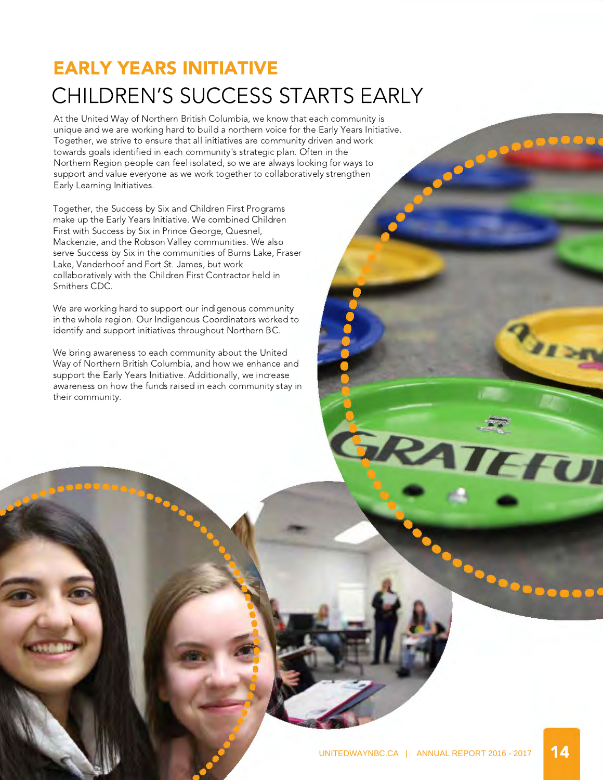# EARLY YEARS INITIATIVE CHILDREN'S SUCCESS STARTS EARLY

At the United Way of Northern British Columbia, we know that each community is unique and we are working hard to build a northern voice for the Early Years Initiative. Together, we strive to ensure that all initiatives are community driven and work towards goals identified in each community's strategic plan. Often in the Northern Region people can feel isolated, so we are always looking for ways to support and value everyone as we work together to collaboratively strengthen Early Learning Initiatives.

Together, the Success by Six and Children First Programs make up the Early Years Initiative. We combined Children First with Success by Six in Prince George, Quesnel, Mackenzie, and the Robson Valley communities. We also serve Success by Six in the communities of Burns Lake, Fraser Lake, Vanderhoof and Fort St. James, but work collaboratively with the Children First Contractor held in Smithers CDC.

We are working hard to support our indigenous community in the whole region. Our Indigenous Coordinators worked to identify and support initiatives throughout Northern BC.

We bring awareness to each community about the United Way of Northern British Columbia, and how we enhance and support the Early Years Initiative. Additionally, we increase awareness on how the funds raised in each community stay in their community.

RATEFUL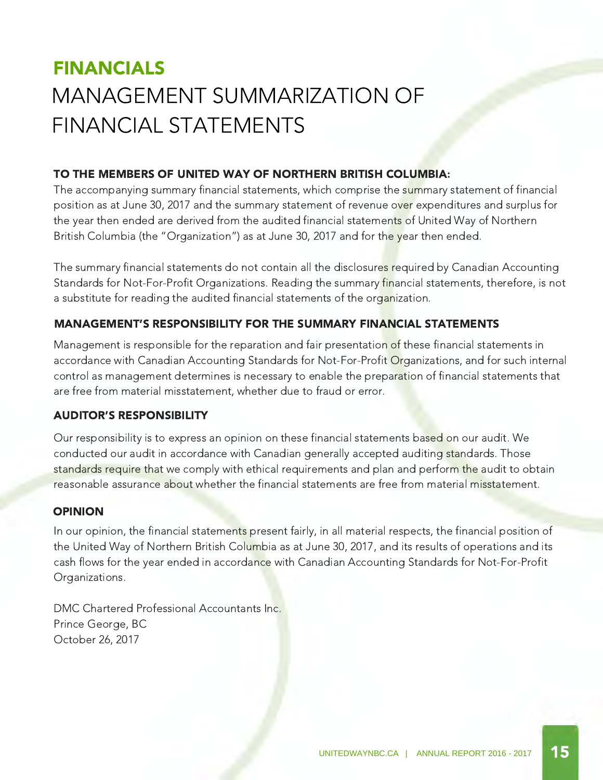# FINANCIALS MANAGEMENT SUMMARIZATION OF FINANCIAL STATEMENTS

### TO THE MEMBERS OF UNITED WAY OF NORTHERN BRITISH COLUMBIA:

The accompanying summary financial statements, which comprise the summary statement of financial position as at June 30, 2017 and the summary statement of revenue over expenditures and surplus for the year then ended are derived from the audited financial statements of United Way of Northern British Columbia (the "Organization") as at June 30, 2017 and for the year then ended.

The summary financial statements do not contain all the disclosures required by Canadian Accounting Standards for Not-For-Profit Organizations. Reading the summary financial statements, therefore, is not a substitute for reading the audited financial statements of the organization.

### MANAGEMENT'S RESPONSIBILITY FOR THE SUMMARY FINANCIAL STATEMENTS

Management is responsible for the reparation and fair presentation of these financial statements in accordance with Canadian Accounting Standards for Not-For-Profit Organizations, and for such internal control as management determines is necessary to enable the preparation of financial statements that are free from material misstatement, whether due to fraud or error.

### AUDITOR'S RESPONSIBILITY

Our responsibility is to express an opinion on these financial statements based on our audit. We conducted our audit in accordance with Canadian generally accepted auditing standards. Those standards require that we comply with ethical requirements and plan and perform the audit to obtain reasonable assurance about whether the financial statements are free from material misstatement.

### OPINION

In our opinion, the financial statements present fairly, in all material respects, the financial position of the United Way of Northern British Columbia as at June 30, 2017, and its results of operations and its cash flows for the year ended in accordance with Canadian Accounting Standards for Not-For-Profit Organizations.

DMC Chartered Professional Accountants Inc. Prince George, BC October 26, 2017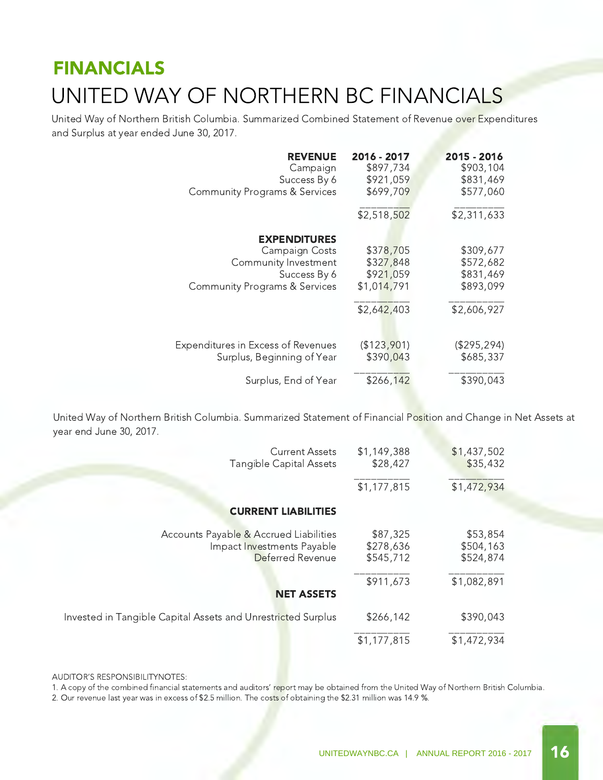# FINANCIALS UNITED WAY OF NORTHERN BC FINANCIALS

United Way of Northern British Columbia. Summarized Combined Statement of Revenue over Expenditures and Surplus at year ended June 30, 2017.

| <b>REVENUE</b>                            | 2016 - 2017 | 2015 - 2016 |
|-------------------------------------------|-------------|-------------|
| Campaign                                  | \$897,734   | \$903,104   |
| Success By 6                              | \$921,059   | \$831,469   |
| <b>Community Programs &amp; Services</b>  | \$699,709   | \$577,060   |
|                                           | \$2,518,502 | \$2,311,633 |
| <b>EXPENDITURES</b>                       | \$378,705   | \$309,677   |
| Campaign Costs                            | \$327,848   | \$572,682   |
| Community Investment                      | \$921,059   | \$831,469   |
| Success By 6                              | \$1,014,791 | \$893,099   |
| <b>Community Programs &amp; Services</b>  | \$2,642,403 | \$2,606,927 |
| <b>Expenditures in Excess of Revenues</b> | (\$123,901) | (\$295,294) |
| Surplus, Beginning of Year                | \$390,043   | \$685,337   |
| Surplus, End of Year                      | \$266,142   | \$390,043   |

United Way of Northern British Columbia. Summarized Statement of Financial Position and Change in Net Assets at year end June 30, 2017.

| <b>Current Assets</b><br>Tangible Capital Assets                                         | \$1,149,388<br>\$28,427            | \$1,437,502<br>\$35,432            |
|------------------------------------------------------------------------------------------|------------------------------------|------------------------------------|
|                                                                                          | \$1,177,815                        | \$1,472,934                        |
| <b>CURRENT LIABILITIES</b>                                                               |                                    |                                    |
| Accounts Payable & Accrued Liabilities<br>Impact Investments Payable<br>Deferred Revenue | \$87,325<br>\$278,636<br>\$545,712 | \$53,854<br>\$504,163<br>\$524,874 |
| <b>NET ASSETS</b>                                                                        | \$911,673                          | \$1,082,891                        |
| Invested in Tangible Capital Assets and Unrestricted Surplus                             | \$266,142                          | \$390,043                          |
|                                                                                          | \$1,177,815                        | \$1,472,934                        |

#### AUDITOR'S RESPONSIBILITYNOTES:

1. A copy of the combined financial statements and auditors' report may be obtained from the United Way of Northern British Columbia.

2. Our revenue last year was in excess of \$2.5 million. The costs of obtaining the \$2.31 million was 14.9 %.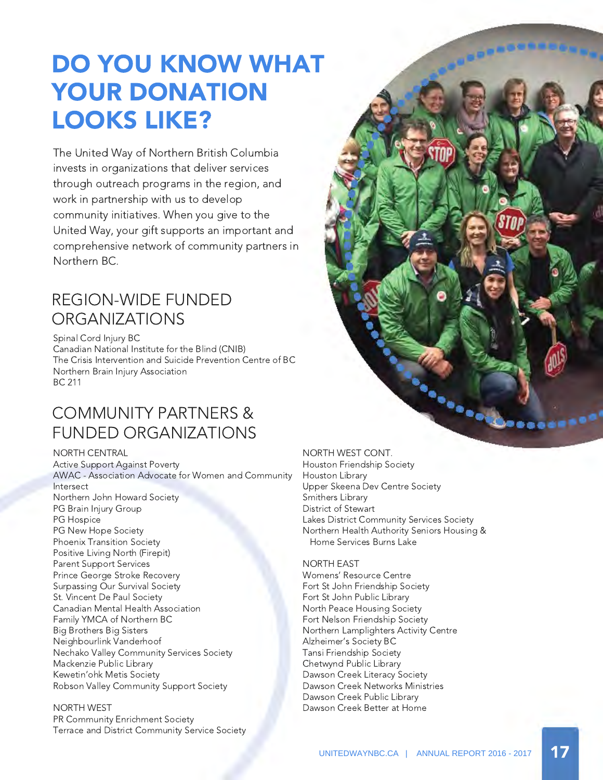# DO YOU KNOW WHAT YOUR DONATION LOOKS LIKE?

The United Way of Northern British Columbia invests in organizations that deliver services through outreach programs in the region, and work in partnership with us to develop community initiatives. When you give to the United Way, your gift supports an important and comprehensive network of community partners in Northern BC.

### REGION-WIDE FUNDED **ORGANIZATIONS**

Spinal Cord Injury BC Canadian National Institute for the Blind (CNIB) The Crisis Intervention and Suicide Prevention Centre of BC Northern Brain Injury Association BC 211

### COMMUNITY PARTNERS & FUNDED ORGANIZATIONS

NORTH CENTRAL Active Support Against Poverty AWAC - Association Advocate for Women and Community Intersect Northern John Howard Society PG Brain Injury Group PG Hospice PG New Hope Society Phoenix Transition Society Positive Living North (Firepit) Parent Support Services Prince George Stroke Recovery Surpassing Our Survival Society St. Vincent De Paul Society Canadian Mental Health Association Family YMCA of Northern BC Big Brothers Big Sisters Neighbourlink Vanderhoof Nechako Valley Community Services Society Mackenzie Public Library Kewetin'ohk Metis Society Robson Valley Community Support Society

NORTH WEST PR Community Enrichment Society Terrace and District Community Service Society



NORTH WEST CONT. Houston Friendship Society Houston Library Upper Skeena Dev Centre Society Smithers Library District of Stewart Lakes District Community Services Society Northern Health Authority Seniors Housing & Home Services Burns Lake

#### NORTH EAST

Womens' Resource Centre Fort St John Friendship Society Fort St John Public Library North Peace Housing Society Fort Nelson Friendship Society Northern Lamplighters Activity Centre Alzheimer's Society BC Tansi Friendship Society Chetwynd Public Library Dawson Creek Literacy Society Dawson Creek Networks Ministries Dawson Creek Public Library Dawson Creek Better at Home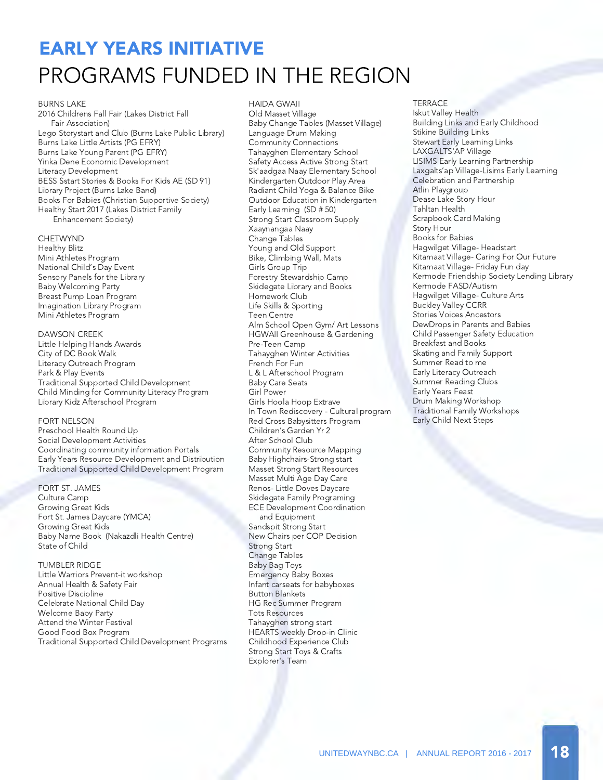# EARLY YEARS INITIATIVE PROGRAMS FUNDED IN THE REGION

#### BURNS LAKE

2016 Childrens Fall Fair (Lakes District Fall Fair Association) Lego Storystart and Club (Burns Lake Public Library) Burns Lake Little Artists (PG EFRY) Burns Lake Young Parent (PG EFRY) Yinka Dene Economic Development Literacy Development BESS Sstart Stories & Books For Kids AE (SD 91) Library Project (Burns Lake Band) Books For Babies (Christian Supportive Society) Healthy Start 2017 (Lakes District Family Enhancement Society)

#### **CHETWYND**

Healthy Blitz Mini Athletes Program National Child's Day Event Sensory Panels for the Library Baby Welcoming Party Breast Pump Loan Program Imagination Library Program Mini Athletes Program

#### DAWSON CREEK

Little Helping Hands Awards City of DC Book Walk Literacy Outreach Program Park & Play Events Traditional Supported Child Development Child Minding for Community Literacy Program Library Kidz Afterschool Program

#### FORT NELSON

Preschool Health Round Up Social Development Activities Coordinating community information Portals Early Years Resource Development and Distribution Traditional Supported Child Development Program

FORT ST. JAMES Culture Camp Growing Great Kids Fort St. James Daycare (YMCA) Growing Great Kids Baby Name Book (Nakazdli Health Centre) State of Child

TUMBLER RIDGE Little Warriors Prevent-it workshop Annual Health & Safety Fair Positive Discipline Celebrate National Child Day Welcome Baby Party Attend the Winter Festival Good Food Box Program Traditional Supported Child Development Programs HAIDA GWAII Old Masset Village Baby Change Tables (Masset Village) Language Drum Making Community Connections Tahayghen Elementary School Safety Access Active Strong Start Sk'aadgaa Naay Elementary School Kindergarten Outdoor Play Area Radiant Child Yoga & Balance Bike Outdoor Education in Kindergarten Early Learning (SD # 50) Strong Start Classroom Supply Xaaynangaa Naay Change Tables Young and Old Support Bike, Climbing Wall, Mats Girls Group Trip Forestry Stewardship Camp Skidegate Library and Books Homework Club Life Skills & Sporting Teen Centre Alm School Open Gym/ Art Lessons HGWAII Greenhouse & Gardening Pre-Teen Camp Tahayghen Winter Activities French For Fun L & L Afterschool Program Baby Care Seats Girl Power Girls Hoola Hoop Extrave In Town Rediscovery - Cultural program Red Cross Babysitters Program Children's Garden Yr 2 After School Club Community Resource Mapping Baby Highchairs-Strong start Masset Strong Start Resources Masset Multi Age Day Care Renos- Little Doves Daycare Skidegate Family Programing ECE Development Coordination and Equipment Sandspit Strong Start New Chairs per COP Decision Strong Start Change Tables Baby Bag Toys Emergency Baby Boxes Infant carseats for babyboxes Button Blankets HG Rec Summer Program Tots Resources Tahayghen strong start HEARTS weekly Drop-in Clinic Childhood Experience Club Strong Start Toys & Crafts Explorer's Team

#### **TERRACE**

Iskut Valley Health Building Links and Early Childhood Stikine Building Links Stewart Early Learning Links LAXGALTS'AP Village LISIMS Early Learning Partnership Laxgalts'ap Village-Lisims Early Learning Celebration and Partnership Atlin Playgroup Dease Lake Story Hour Tahltan Health Scrapbook Card Making Story Hour Books for Babies Hagwilget Village- Headstart Kitamaat Village- Caring For Our Future Kitamaat Village- Friday Fun day Kermode Friendship Society Lending Library Kermode FASD/Autism Hagwilget Village- Culture Arts Buckley Valley CCRR Stories Voices Ancestors DewDrops in Parents and Babies Child Passenger Safety Education Breakfast and Books Skating and Family Support Summer Read to me Early Literacy Outreach Summer Reading Clubs Early Years Feast Drum Making Workshop Traditional Family Workshops Early Child Next Steps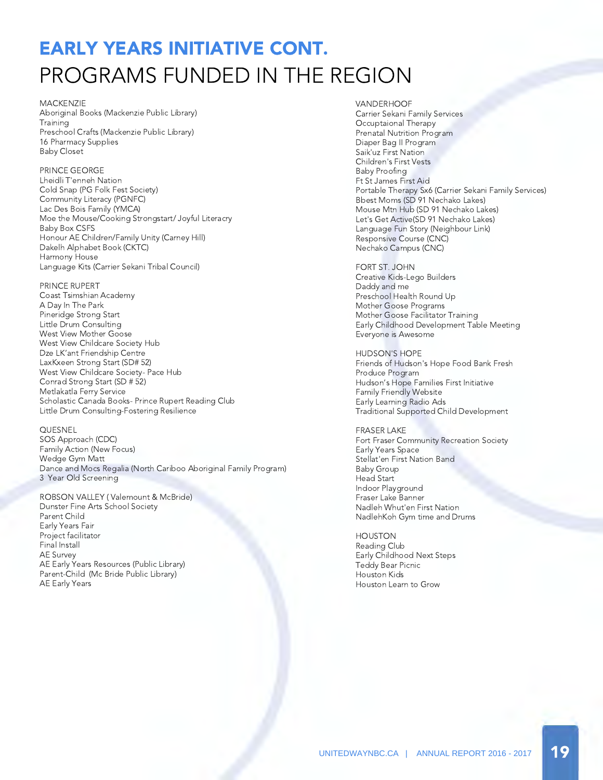# EARLY YEARS INITIATIVE CONT. PROGRAMS FUNDED IN THE REGION

#### MACKENZIE

Aboriginal Books (Mackenzie Public Library) **Training** Preschool Crafts (Mackenzie Public Library) 16 Pharmacy Supplies Baby Closet

#### PRINCE GEORGE

Lheidli T'enneh Nation Cold Snap (PG Folk Fest Society) Community Literacy (PGNFC) Lac Des Bois Family (YMCA) Moe the Mouse/Cooking Strongstart/ Joyful Literacry Baby Box CSFS Honour AE Children/Family Unity (Carney Hill) Dakelh Alphabet Book (CKTC) Harmony House Language Kits (Carrier Sekani Tribal Council)

#### PRINCE RUPERT

Coast Tsimshian Academy A Day In The Park Pineridge Strong Start Little Drum Consulting West View Mother Goose West View Childcare Society Hub Dze LK'ant Friendship Centre LaxKxeen Strong Start (SD# 52) West View Childcare Society- Pace Hub Conrad Strong Start (SD # 52) Metlakatla Ferry Service Scholastic Canada Books- Prince Rupert Reading Club Little Drum Consulting-Fostering Resilience

#### QUESNEL

SOS Approach (CDC) Family Action (New Focus) Wedge Gym Matt Dance and Mocs Regalia (North Cariboo Aboriginal Family Program) 3 Year Old Screening

ROBSON VALLEY ( Valemount & McBride) Dunster Fine Arts School Society Parent Child Early Years Fair Project facilitator Final Install AE Survey AE Early Years Resources (Public Library) Parent-Child (Mc Bride Public Library) AE Early Years

#### VANDERHOOF Carrier Sekani Family Services Occuptaional Therapy Prenatal Nutrition Program Diaper Bag II Program Saik'uz First Nation Children's First Vests Baby Proofing Ft St James First Aid Portable Therapy Sx6 (Carrier Sekani Family Services) Bbest Moms (SD 91 Nechako Lakes) Mouse Mtn Hub (SD 91 Nechako Lakes) Let's Get Active(SD 91 Nechako Lakes) Language Fun Story (Neighbour Link) Responsive Course (CNC) Nechako Campus (CNC)

FORT ST. JOHN Creative Kids-Lego Builders Daddy and me Preschool Health Round Up Mother Goose Programs Mother Goose Facilitator Training Early Childhood Development Table Meeting Everyone is Awesome

HUDSON'S HOPE Friends of Hudson's Hope Food Bank Fresh Produce Program Hudson's Hope Families First Initiative Family Friendly Website Early Learning Radio Ads Traditional Supported Child Development

FRASER LAKE Fort Fraser Community Recreation Society Early Years Space Stellat'en First Nation Band Baby Group Head Start Indoor Playground Fraser Lake Banner Nadleh Whut'en First Nation NadlehKoh Gym time and Drums

HOUSTON Reading Club Early Childhood Next Steps Teddy Bear Picnic Houston Kids Houston Learn to Grow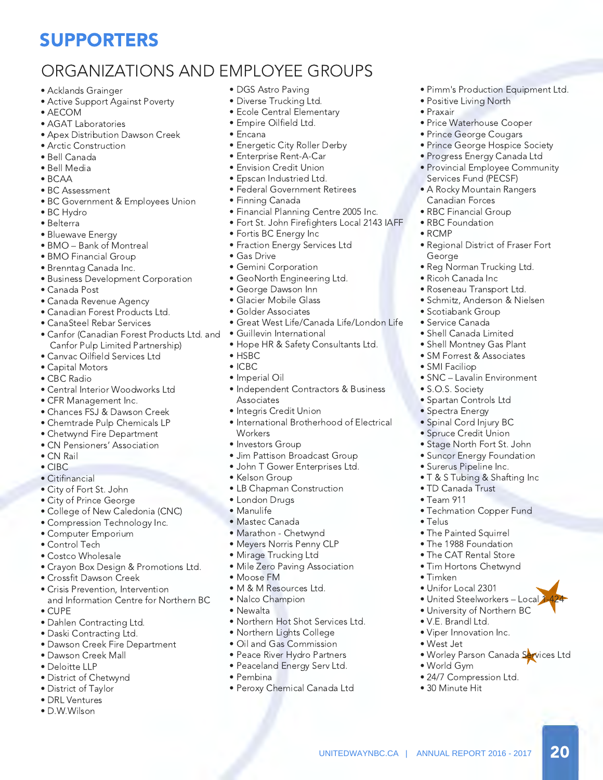### SUPPORTERS

### ORGANIZATIONS AND EMPLOYEE GROUPS

- Acklands Grainger
- Active Support Against Poverty
- AECOM
- AGAT Laboratories
- Apex Distribution Dawson Creek
- Arctic Construction
- Bell Canada
- Bell Media
- BCAA
- BC Assessment
- BC Government & Employees Union
- BC Hydro
- Belterra
- Bluewave Energy
- BMO Bank of Montreal
- BMO Financial Group
- Brenntag Canada Inc.
- Business Development Corporation
- Canada Post
- Canada Revenue Agency
- Canadian Forest Products Ltd.
- CanaSteel Rebar Services
- Canfor (Canadian Forest Products Ltd. and Canfor Pulp Limited Partnership)
- Canvac Oilfield Services Ltd
- Capital Motors
- CBC Radio
- Central Interior Woodworks Ltd
- CFR Management Inc.
- Chances FSJ & Dawson Creek
- Chemtrade Pulp Chemicals LP
- Chetwynd Fire Department
- CN Pensioners' Association
- CN Rail
- CIBC
- Citifinancial
- City of Fort St. John
- City of Prince George
- College of New Caledonia (CNC)
- Compression Technology Inc.
- Computer Emporium
- Control Tech
- Costco Wholesale
- Crayon Box Design & Promotions Ltd.
- Crossfit Dawson Creek
- Crisis Prevention, Intervention and Information Centre for Northern BC
- CUPE
- Dahlen Contracting Ltd.
- Daski Contracting Ltd.
- Dawson Creek Fire Department
- Dawson Creek Mall
- Deloitte LLP
- District of Chetwynd
- District of Taylor
- DRL Ventures
- D.W.Wilson
- DGS Astro Paving
- Diverse Trucking Ltd.
- Ecole Central Elementary
- Empire Oilfield Ltd.
- Encana
- Energetic City Roller Derby
- Enterprise Rent-A-Car
- Envision Credit Union
- Epscan Industried Ltd.
- Federal Government Retirees
- Finning Canada
- Financial Planning Centre 2005 Inc.
- Fort St. John Firefighters Local 2143 IAFF
- Fortis BC Energy Inc
- Fraction Energy Services Ltd
- Gas Drive
- Gemini Corporation
- GeoNorth Engineering Ltd.
- George Dawson Inn
- Glacier Mobile Glass
- Golder Associates
- Great West Life/Canada Life/London Life
- Guillevin International
- Hope HR & Safety Consultants Ltd.
- HSBC
- ICBC
- Imperial Oil
- Independent Contractors & Business **Associates**
- Integris Credit Union
- International Brotherhood of Electrical **Workers**
- Investors Group
- Jim Pattison Broadcast Group
- John T Gower Enterprises Ltd.
- Kelson Group
- LB Chapman Construction
- London Drugs
- Manulife
- Mastec Canada
- Marathon Chetwynd
- Meyers Norris Penny CLP
- Mirage Trucking Ltd

• M & M Resources Ltd. • Nalco Champion

• Mile Zero Paving Association

• Northern Hot Shot Services Ltd. • Northern Lights College • Oil and Gas Commission • Peace River Hydro Partners • Peaceland Energy Serv Ltd.

• Peroxy Chemical Canada Ltd

UNITEDWAYNBC.CA | ANNUAL REPORT 2016 - 2017 20

• Pimm's Production Equipment Ltd.

• Positive Living North

• Price Waterhouse Cooper • Prince George Cougars • Prince George Hospice Society • Progress Energy Canada Ltd • Provincial Employee Community

 Services Fund (PECSF) • A Rocky Mountain Rangers

• Regional District of Fraser Fort

• Reg Norman Trucking Ltd.

• SNC – Lavalin Environment

 Canadian Forces • RBC Financial Group • RBC Foundation

• Ricoh Canada Inc • Roseneau Transport Ltd. • Schmitz, Anderson & Nielsen

• Scotiabank Group • Service Canada • Shell Canada Limited • Shell Montney Gas Plant • SM Forrest & Associates

• SMI Faciliop

• S.O.S. Society • Spartan Controls Ltd • Spectra Energy • Spinal Cord Injury BC • Spruce Credit Union • Stage North Fort St. John • Suncor Energy Foundation • Surerus Pipeline Inc. • T & S Tubing & Shafting Inc

• TD Canada Trust • Team 911

• Telus

• Timken

• Techmation Copper Fund

• United Steelworkers - Local • University of Northern BC

• Worley Parson Canada Services Ltd

• The Painted Squirrel • The 1988 Foundation • The CAT Rental Store • Tim Hortons Chetwynd

• Unifor Local 2301

• V.E. Brandl Ltd. • Viper Innovation Inc.

• West Jet

• World Gym

• 30 Minute Hit

• 24/7 Compression Ltd.

• Praxair

• RCMP

George

• Moose FM

• Newalta

• Pembina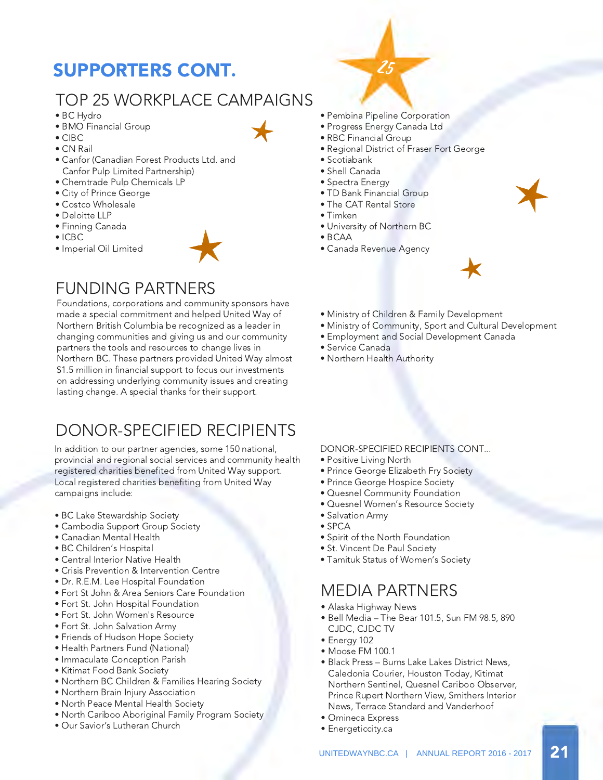## SUPPORTERS CONT.

### TOP 25 WORKPLACE CAMPAIGNS

- BC Hydro
- BMO Financial Group
- CIBC
- CN Rail
- Canfor (Canadian Forest Products Ltd. and Canfor Pulp Limited Partnership)
- Chemtrade Pulp Chemicals LP
- City of Prince George
- Costco Wholesale
- Deloitte LLP
- Finning Canada
- ICBC
- Imperial Oil Limited



### FUNDING PARTNERS

Foundations, corporations and community sponsors have made a special commitment and helped United Way of Northern British Columbia be recognized as a leader in changing communities and giving us and our community partners the tools and resources to change lives in Northern BC. These partners provided United Way almost \$1.5 million in financial support to focus our investments on addressing underlying community issues and creating lasting change. A special thanks for their support.

### DONOR-SPECIFIED RECIPIENTS

In addition to our partner agencies, some 150 national, provincial and regional social services and community health registered charities benefited from United Way support. Local registered charities benefiting from United Way campaigns include:

- BC Lake Stewardship Society
- Cambodia Support Group Society
- Canadian Mental Health
- BC Children's Hospital
- Central Interior Native Health
- Crisis Prevention & Intervention Centre
- Dr. R.E.M. Lee Hospital Foundation
- Fort St John & Area Seniors Care Foundation
- Fort St. John Hospital Foundation
- Fort St. John Women's Resource
- Fort St. John Salvation Army
- Friends of Hudson Hope Society
- Health Partners Fund (National)
- Immaculate Conception Parish
- Kitimat Food Bank Society
- Northern BC Children & Families Hearing Society
- Northern Brain Injury Association
- North Peace Mental Health Society
- North Cariboo Aboriginal Family Program Society
- Our Savior's Lutheran Church

• Pembina Pipeline Corporation

25

- Progress Energy Canada Ltd
- RBC Financial Group
- Regional District of Fraser Fort George
- Scotiabank
- Shell Canada
- Spectra Energy
- TD Bank Financial Group
- The CAT Rental Store
- Timken
- University of Northern BC
- BCAA
- Canada Revenue Agency



- Ministry of Children & Family Development
- Ministry of Community, Sport and Cultural Development
- Employment and Social Development Canada
- Service Canada
- Northern Health Authority

DONOR-SPECIFIED RECIPIENTS CONT...

- Positive Living North
- Prince George Elizabeth Fry Society
- Prince George Hospice Society
- Quesnel Community Foundation
- Quesnel Women's Resource Society
- Salvation Army
- SPCA
- Spirit of the North Foundation
- St. Vincent De Paul Society
- Tamituk Status of Women's Society

### MEDIA PARTNERS

- Alaska Highway News
- Bell Media The Bear 101.5, Sun FM 98.5, 890 CJDC, CJDC TV
- Energy 102
- Moose FM 100.1
- Black Press Burns Lake Lakes District News, Caledonia Courier, Houston Today, Kitimat Northern Sentinel, Quesnel Cariboo Observer, Prince Rupert Northern View, Smithers Interior News, Terrace Standard and Vanderhoof
- Omineca Express
- Energeticcity.ca

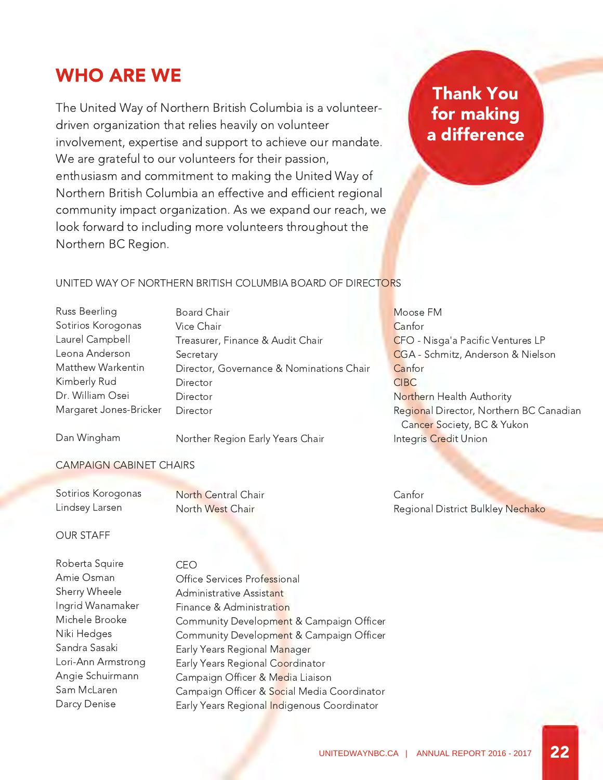### WHO ARE WE

The United Way of Northern British Columbia is a volunteerdriven organization that relies heavily on volunteer involvement, expertise and support to achieve our mandate. We are grateful to our volunteers for their passion, enthusiasm and commitment to making the United Way of Northern British Columbia an effective and efficient regional community impact organization. As we expand our reach, we look forward to including more volunteers throughout the Northern BC Region.

### Thank You for making a difference

#### UNITED WAY OF NORTHERN BRITISH COLUMBIA BOARD OF DIRECTORS

Russ Beerling Sotirios Korogonas Laurel Campbell Leona Anderson Matthew Warkentin Kimberly Rud Dr. William Osei Margaret Jones-Bricker

Board Chair Vice Chair Treasurer, Finance & Audit Chair **Secretary** Director, Governance & Nominations Chair Director Director **Director** 

Moose FM **Canfor** CFO - Nisga'a Pacific Ventures LP CGA - Schmitz, Anderson & Nielson **Canfor** CIBC Northern Health Authority Regional Director, Northern BC Canadian Cancer Society, BC & Yukon Integris Credit Union

Dan Wingham

Norther Region Early Years Chair

#### CAMPAIGN CABINET CHAIRS

Sotirios Korogonas Lindsey Larsen

North Central Chair North West Chair

Canfor Regional District Bulkley Nechako

#### OUR STAFF

| Roberta Squire     | CFO                                         |
|--------------------|---------------------------------------------|
| Amie Osman         | Office Services Professional                |
| Sherry Wheele      | Administrative Assistant                    |
| Ingrid Wanamaker   | Finance & Administration                    |
| Michele Brooke     | Community Development & Campaign Officer    |
| Niki Hedges        | Community Development & Campaign Officer    |
| Sandra Sasaki      | Early Years Regional Manager                |
| Lori-Ann Armstrong | Early Years Regional Coordinator            |
| Angie Schuirmann   | Campaign Officer & Media Liaison            |
| Sam McLaren        | Campaign Officer & Social Media Coordinator |
| Darcy Denise       | Early Years Regional Indigenous Coordinator |
|                    |                                             |